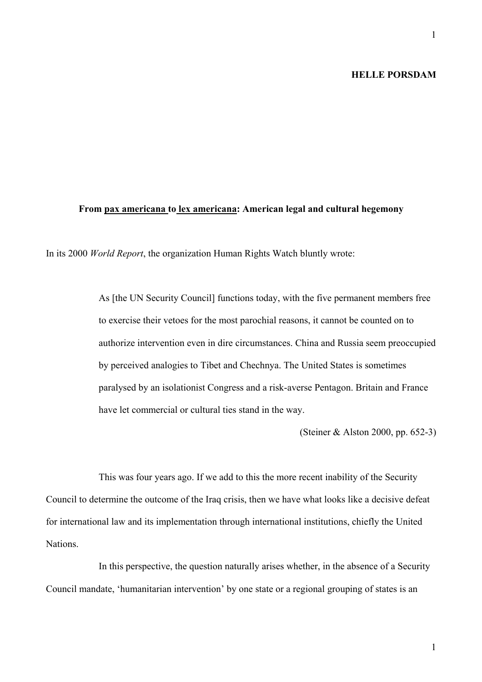# **HELLE PORSDAM**

## **From pax americana to lex americana: American legal and cultural hegemony**

In its 2000 *World Report*, the organization Human Rights Watch bluntly wrote:

As [the UN Security Council] functions today, with the five permanent members free to exercise their vetoes for the most parochial reasons, it cannot be counted on to authorize intervention even in dire circumstances. China and Russia seem preoccupied by perceived analogies to Tibet and Chechnya. The United States is sometimes paralysed by an isolationist Congress and a risk-averse Pentagon. Britain and France have let commercial or cultural ties stand in the way.

(Steiner & Alston 2000, pp. 652-3)

This was four years ago. If we add to this the more recent inability of the Security Council to determine the outcome of the Iraq crisis, then we have what looks like a decisive defeat for international law and its implementation through international institutions, chiefly the United Nations.

In this perspective, the question naturally arises whether, in the absence of a Security Council mandate, 'humanitarian intervention' by one state or a regional grouping of states is an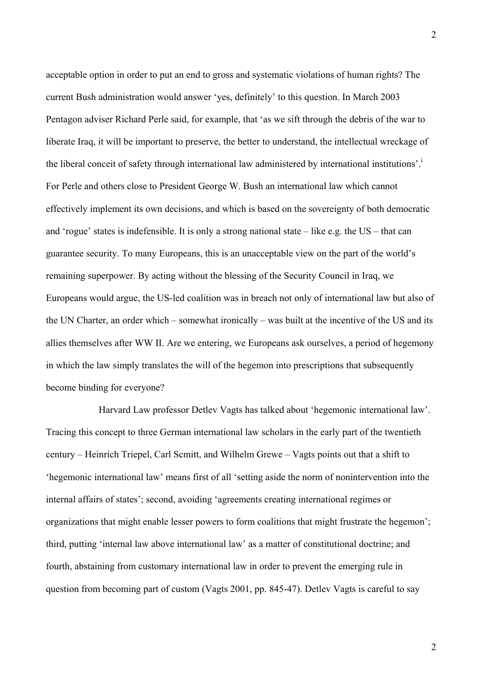acceptable option in order to put an end to gross and systematic violations of human rights? The current Bush administration would answer 'yes, definitely' to this question. In March 2003 Pentagon adviser Richard Perle said, for example, that 'as we sift through the debris of the war to liberate Iraq, it will be important to preserve, the better to understand, the intellectual wreckage of the liberal conceit of safety through international law administered by international institutions'. For Perle and others close to President George W. Bush an international law which cannot effectively implement its own decisions, and which is based on the sovereignty of both democratic and 'rogue' states is indefensible. It is only a strong national state – like e.g. the  $US$  – that can guarantee security. To many Europeans, this is an unacceptable view on the part of the world's remaining superpower. By acting without the blessing of the Security Council in Iraq, we Europeans would argue, the US-led coalition was in breach not only of international law but also of the UN Charter, an order which – somewhat ironically – was built at the incentive of the US and its allies themselves after WW II. Are we entering, we Europeans ask ourselves, a period of hegemony in which the law simply translates the will of the hegemon into prescriptions that subsequently become binding for everyone?

Harvard Law professor Detlev Vagts has talked about 'hegemonic international law'. Tracing this concept to three German international law scholars in the early part of the twentieth century – Heinrich Triepel, Carl Scmitt, and Wilhelm Grewe – Vagts points out that a shift to 'hegemonic international law' means first of all 'setting aside the norm of nonintervention into the internal affairs of states'; second, avoiding 'agreements creating international regimes or organizations that might enable lesser powers to form coalitions that might frustrate the hegemon'; third, putting 'internal law above international law' as a matter of constitutional doctrine; and fourth, abstaining from customary international law in order to prevent the emerging rule in question from becoming part of custom (Vagts 2001, pp. 845-47). Detlev Vagts is careful to say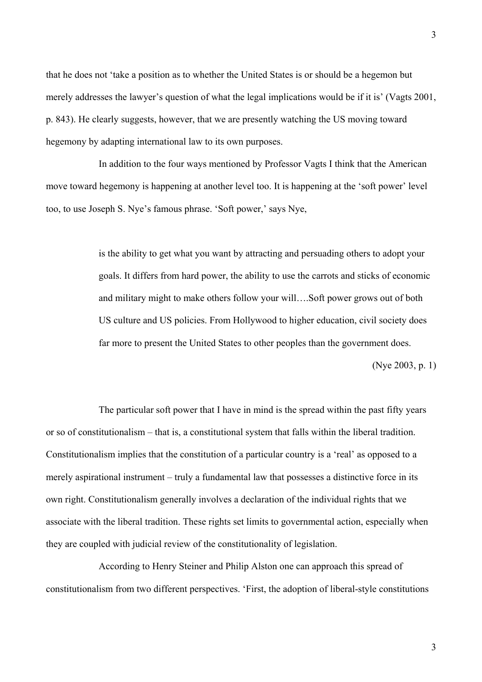that he does not 'take a position as to whether the United States is or should be a hegemon but merely addresses the lawyer's question of what the legal implications would be if it is' (Vagts 2001, p. 843). He clearly suggests, however, that we are presently watching the US moving toward hegemony by adapting international law to its own purposes.

In addition to the four ways mentioned by Professor Vagts I think that the American move toward hegemony is happening at another level too. It is happening at the 'soft power' level too, to use Joseph S. Nye's famous phrase. 'Soft power,' says Nye,

> is the ability to get what you want by attracting and persuading others to adopt your goals. It differs from hard power, the ability to use the carrots and sticks of economic and military might to make others follow your will….Soft power grows out of both US culture and US policies. From Hollywood to higher education, civil society does far more to present the United States to other peoples than the government does.

> > (Nye 2003, p. 1)

The particular soft power that I have in mind is the spread within the past fifty years or so of constitutionalism – that is, a constitutional system that falls within the liberal tradition. Constitutionalism implies that the constitution of a particular country is a 'real' as opposed to a merely aspirational instrument – truly a fundamental law that possesses a distinctive force in its own right. Constitutionalism generally involves a declaration of the individual rights that we associate with the liberal tradition. These rights set limits to governmental action, especially when they are coupled with judicial review of the constitutionality of legislation.

According to Henry Steiner and Philip Alston one can approach this spread of constitutionalism from two different perspectives. 'First, the adoption of liberal-style constitutions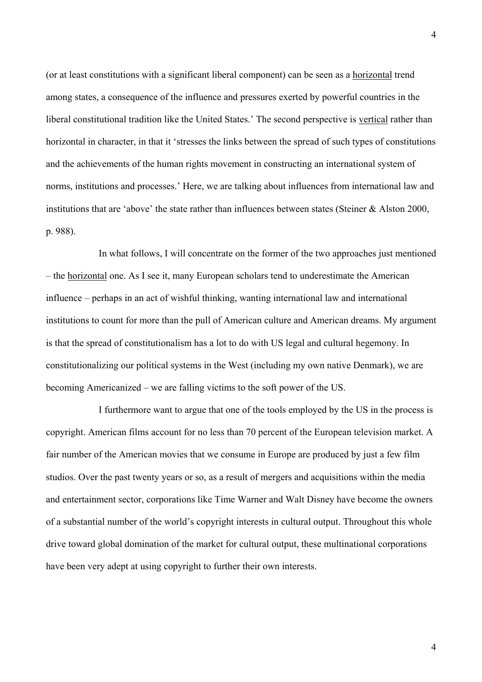(or at least constitutions with a significant liberal component) can be seen as a horizontal trend among states, a consequence of the influence and pressures exerted by powerful countries in the liberal constitutional tradition like the United States.' The second perspective is vertical rather than horizontal in character, in that it 'stresses the links between the spread of such types of constitutions and the achievements of the human rights movement in constructing an international system of norms, institutions and processes.' Here, we are talking about influences from international law and institutions that are 'above' the state rather than influences between states (Steiner & Alston 2000, p. 988).

In what follows, I will concentrate on the former of the two approaches just mentioned – the horizontal one. As I see it, many European scholars tend to underestimate the American influence – perhaps in an act of wishful thinking, wanting international law and international institutions to count for more than the pull of American culture and American dreams. My argument is that the spread of constitutionalism has a lot to do with US legal and cultural hegemony. In constitutionalizing our political systems in the West (including my own native Denmark), we are becoming Americanized – we are falling victims to the soft power of the US.

I furthermore want to argue that one of the tools employed by the US in the process is copyright. American films account for no less than 70 percent of the European television market. A fair number of the American movies that we consume in Europe are produced by just a few film studios. Over the past twenty years or so, as a result of mergers and acquisitions within the media and entertainment sector, corporations like Time Warner and Walt Disney have become the owners of a substantial number of the world's copyright interests in cultural output. Throughout this whole drive toward global domination of the market for cultural output, these multinational corporations have been very adept at using copyright to further their own interests.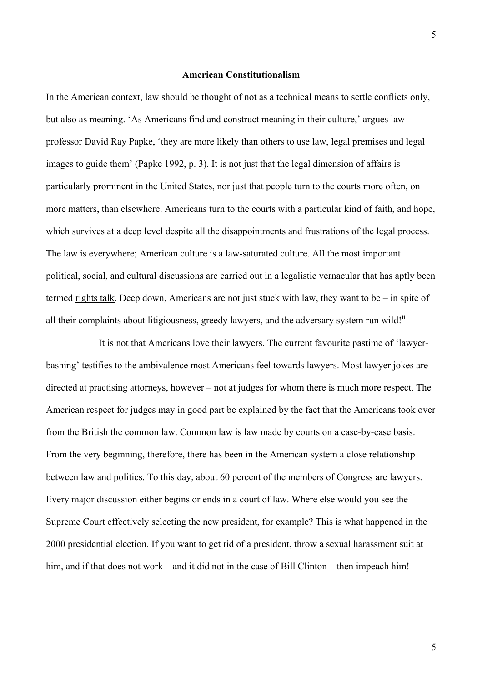#### **American Constitutionalism**

In the American context, law should be thought of not as a technical means to settle conflicts only, but also as meaning. 'As Americans find and construct meaning in their culture,' argues law professor David Ray Papke, 'they are more likely than others to use law, legal premises and legal images to guide them' (Papke 1992, p. 3). It is not just that the legal dimension of affairs is particularly prominent in the United States, nor just that people turn to the courts more often, on more matters, than elsewhere. Americans turn to the courts with a particular kind of faith, and hope, which survives at a deep level despite all the disappointments and frustrations of the legal process. The law is everywhere; American culture is a law-saturated culture. All the most important political, social, and cultural discussions are carried out in a legalistic vernacular that has aptly been termed rights talk. Deep down, Americans are not just stuck with law, they want to be – in spite of all their complaints about litigiousness, greedy lawyers, and the adversary system run wild! $\text{ii}$  $\text{ii}$  $\text{ii}$ 

It is not that Americans love their lawyers. The current favourite pastime of 'lawyerbashing' testifies to the ambivalence most Americans feel towards lawyers. Most lawyer jokes are directed at practising attorneys, however – not at judges for whom there is much more respect. The American respect for judges may in good part be explained by the fact that the Americans took over from the British the common law. Common law is law made by courts on a case-by-case basis. From the very beginning, therefore, there has been in the American system a close relationship between law and politics. To this day, about 60 percent of the members of Congress are lawyers. Every major discussion either begins or ends in a court of law. Where else would you see the Supreme Court effectively selecting the new president, for example? This is what happened in the 2000 presidential election. If you want to get rid of a president, throw a sexual harassment suit at him, and if that does not work – and it did not in the case of Bill Clinton – then impeach him!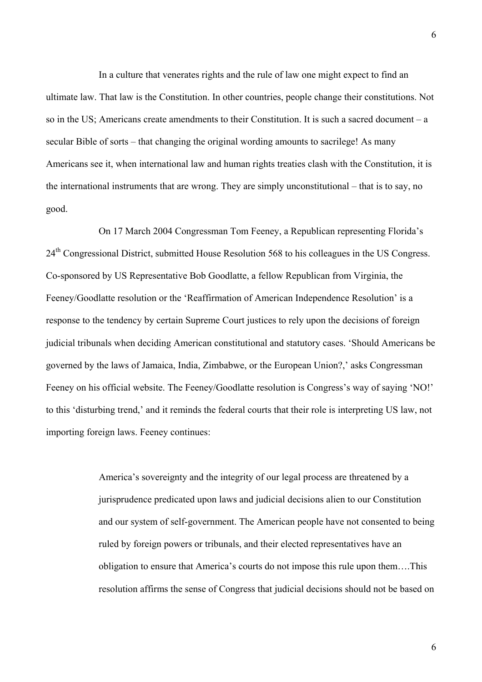In a culture that venerates rights and the rule of law one might expect to find an ultimate law. That law is the Constitution. In other countries, people change their constitutions. Not so in the US; Americans create amendments to their Constitution. It is such a sacred document – a secular Bible of sorts – that changing the original wording amounts to sacrilege! As many Americans see it, when international law and human rights treaties clash with the Constitution, it is the international instruments that are wrong. They are simply unconstitutional – that is to say, no good.

On 17 March 2004 Congressman Tom Feeney, a Republican representing Florida's 24<sup>th</sup> Congressional District, submitted House Resolution 568 to his colleagues in the US Congress. Co-sponsored by US Representative Bob Goodlatte, a fellow Republican from Virginia, the Feeney/Goodlatte resolution or the 'Reaffirmation of American Independence Resolution' is a response to the tendency by certain Supreme Court justices to rely upon the decisions of foreign judicial tribunals when deciding American constitutional and statutory cases. 'Should Americans be governed by the laws of Jamaica, India, Zimbabwe, or the European Union?,' asks Congressman Feeney on his official website. The Feeney/Goodlatte resolution is Congress's way of saying 'NO!' to this 'disturbing trend,' and it reminds the federal courts that their role is interpreting US law, not importing foreign laws. Feeney continues:

> America's sovereignty and the integrity of our legal process are threatened by a jurisprudence predicated upon laws and judicial decisions alien to our Constitution and our system of self-government. The American people have not consented to being ruled by foreign powers or tribunals, and their elected representatives have an obligation to ensure that America's courts do not impose this rule upon them….This resolution affirms the sense of Congress that judicial decisions should not be based on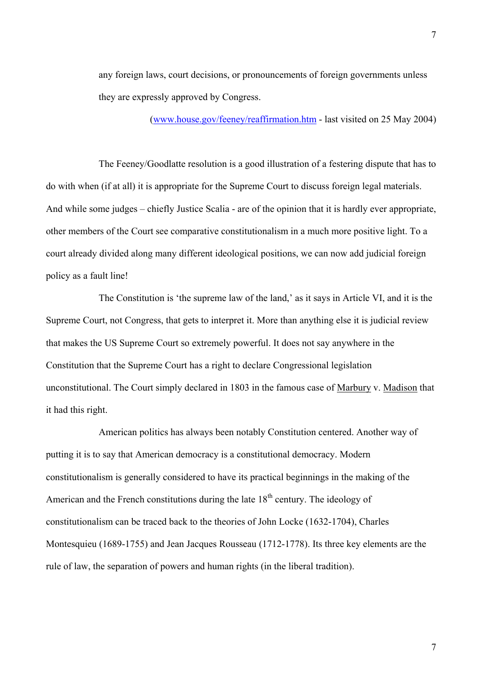any foreign laws, court decisions, or pronouncements of foreign governments unless they are expressly approved by Congress.

[\(www.house.gov/feeney/reaffirmation.htm](http://www.house.gov/feeney/reaffirmation.htm) - last visited on 25 May 2004)

The Feeney/Goodlatte resolution is a good illustration of a festering dispute that has to do with when (if at all) it is appropriate for the Supreme Court to discuss foreign legal materials. And while some judges – chiefly Justice Scalia - are of the opinion that it is hardly ever appropriate, other members of the Court see comparative constitutionalism in a much more positive light. To a court already divided along many different ideological positions, we can now add judicial foreign policy as a fault line!

The Constitution is 'the supreme law of the land,' as it says in Article VI, and it is the Supreme Court, not Congress, that gets to interpret it. More than anything else it is judicial review that makes the US Supreme Court so extremely powerful. It does not say anywhere in the Constitution that the Supreme Court has a right to declare Congressional legislation unconstitutional. The Court simply declared in 1803 in the famous case of Marbury v. Madison that it had this right.

American politics has always been notably Constitution centered. Another way of putting it is to say that American democracy is a constitutional democracy. Modern constitutionalism is generally considered to have its practical beginnings in the making of the American and the French constitutions during the late  $18<sup>th</sup>$  century. The ideology of constitutionalism can be traced back to the theories of John Locke (1632-1704), Charles Montesquieu (1689-1755) and Jean Jacques Rousseau (1712-1778). Its three key elements are the rule of law, the separation of powers and human rights (in the liberal tradition).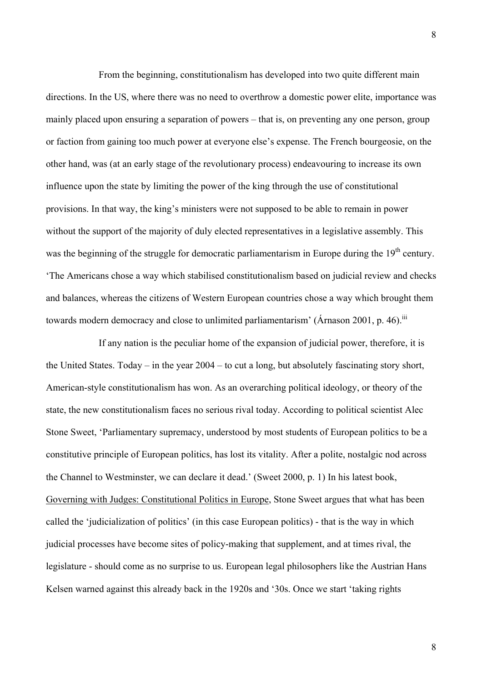From the beginning, constitutionalism has developed into two quite different main directions. In the US, where there was no need to overthrow a domestic power elite, importance was mainly placed upon ensuring a separation of powers – that is, on preventing any one person, group or faction from gaining too much power at everyone else's expense. The French bourgeosie, on the other hand, was (at an early stage of the revolutionary process) endeavouring to increase its own influence upon the state by limiting the power of the king through the use of constitutional provisions. In that way, the king's ministers were not supposed to be able to remain in power without the support of the majority of duly elected representatives in a legislative assembly. This was the beginning of the struggle for democratic parliamentarism in Europe during the 19<sup>th</sup> century. 'The Americans chose a way which stabilised constitutionalism based on judicial review and checks and balances, whereas the citizens of Western European countries chose a way which brought them towards modern democracy and close to unlimited parliamentarism' (Árnason 2001, p. 46).<sup>[iii](#page-24-2)</sup>

If any nation is the peculiar home of the expansion of judicial power, therefore, it is the United States. Today – in the year 2004 – to cut a long, but absolutely fascinating story short, American-style constitutionalism has won. As an overarching political ideology, or theory of the state, the new constitutionalism faces no serious rival today. According to political scientist Alec Stone Sweet, 'Parliamentary supremacy, understood by most students of European politics to be a constitutive principle of European politics, has lost its vitality. After a polite, nostalgic nod across the Channel to Westminster, we can declare it dead.' (Sweet 2000, p. 1) In his latest book, Governing with Judges: Constitutional Politics in Europe, Stone Sweet argues that what has been called the 'judicialization of politics' (in this case European politics) - that is the way in which judicial processes have become sites of policy-making that supplement, and at times rival, the legislature - should come as no surprise to us. European legal philosophers like the Austrian Hans Kelsen warned against this already back in the 1920s and '30s. Once we start 'taking rights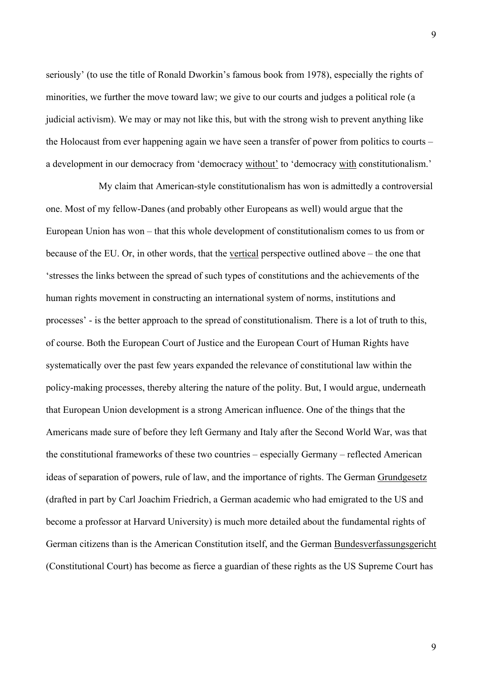seriously' (to use the title of Ronald Dworkin's famous book from 1978), especially the rights of minorities, we further the move toward law; we give to our courts and judges a political role (a judicial activism). We may or may not like this, but with the strong wish to prevent anything like the Holocaust from ever happening again we have seen a transfer of power from politics to courts – a development in our democracy from 'democracy without' to 'democracy with constitutionalism.'

My claim that American-style constitutionalism has won is admittedly a controversial one. Most of my fellow-Danes (and probably other Europeans as well) would argue that the European Union has won – that this whole development of constitutionalism comes to us from or because of the EU. Or, in other words, that the vertical perspective outlined above – the one that 'stresses the links between the spread of such types of constitutions and the achievements of the human rights movement in constructing an international system of norms, institutions and processes' - is the better approach to the spread of constitutionalism. There is a lot of truth to this, of course. Both the European Court of Justice and the European Court of Human Rights have systematically over the past few years expanded the relevance of constitutional law within the policy-making processes, thereby altering the nature of the polity. But, I would argue, underneath that European Union development is a strong American influence. One of the things that the Americans made sure of before they left Germany and Italy after the Second World War, was that the constitutional frameworks of these two countries – especially Germany – reflected American ideas of separation of powers, rule of law, and the importance of rights. The German Grundgesetz (drafted in part by Carl Joachim Friedrich, a German academic who had emigrated to the US and become a professor at Harvard University) is much more detailed about the fundamental rights of German citizens than is the American Constitution itself, and the German Bundesverfassungsgericht (Constitutional Court) has become as fierce a guardian of these rights as the US Supreme Court has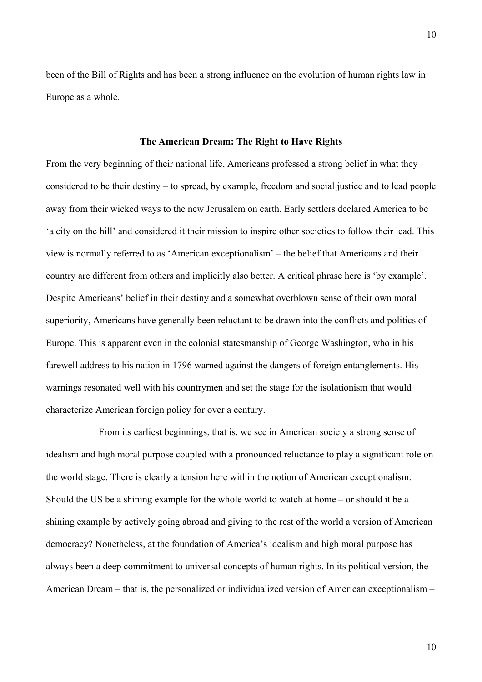been of the Bill of Rights and has been a strong influence on the evolution of human rights law in Europe as a whole.

#### **The American Dream: The Right to Have Rights**

From the very beginning of their national life, Americans professed a strong belief in what they considered to be their destiny – to spread, by example, freedom and social justice and to lead people away from their wicked ways to the new Jerusalem on earth. Early settlers declared America to be 'a city on the hill' and considered it their mission to inspire other societies to follow their lead. This view is normally referred to as 'American exceptionalism' – the belief that Americans and their country are different from others and implicitly also better. A critical phrase here is 'by example'. Despite Americans' belief in their destiny and a somewhat overblown sense of their own moral superiority, Americans have generally been reluctant to be drawn into the conflicts and politics of Europe. This is apparent even in the colonial statesmanship of George Washington, who in his farewell address to his nation in 1796 warned against the dangers of foreign entanglements. His warnings resonated well with his countrymen and set the stage for the isolationism that would characterize American foreign policy for over a century.

From its earliest beginnings, that is, we see in American society a strong sense of idealism and high moral purpose coupled with a pronounced reluctance to play a significant role on the world stage. There is clearly a tension here within the notion of American exceptionalism. Should the US be a shining example for the whole world to watch at home – or should it be a shining example by actively going abroad and giving to the rest of the world a version of American democracy? Nonetheless, at the foundation of America's idealism and high moral purpose has always been a deep commitment to universal concepts of human rights. In its political version, the American Dream – that is, the personalized or individualized version of American exceptionalism –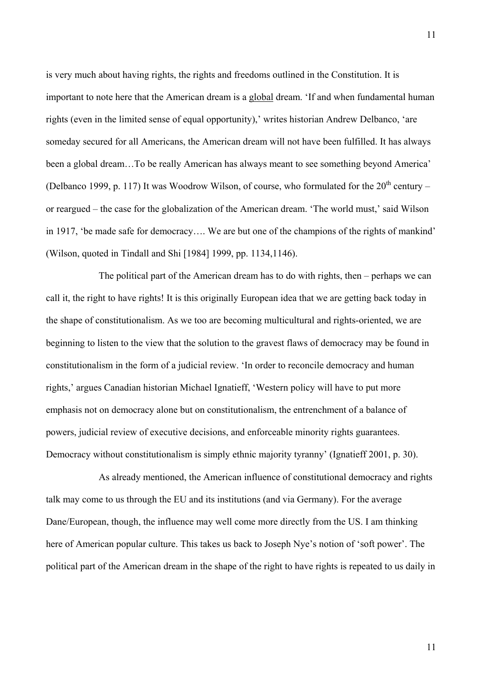is very much about having rights, the rights and freedoms outlined in the Constitution. It is important to note here that the American dream is a global dream. 'If and when fundamental human rights (even in the limited sense of equal opportunity),' writes historian Andrew Delbanco, 'are someday secured for all Americans, the American dream will not have been fulfilled. It has always been a global dream…To be really American has always meant to see something beyond America' (Delbanco 1999, p. 117) It was Woodrow Wilson, of course, who formulated for the  $20<sup>th</sup>$  century – or reargued – the case for the globalization of the American dream. 'The world must,' said Wilson in 1917, 'be made safe for democracy…. We are but one of the champions of the rights of mankind' (Wilson, quoted in Tindall and Shi [1984] 1999, pp. 1134,1146).

The political part of the American dream has to do with rights, then – perhaps we can call it, the right to have rights! It is this originally European idea that we are getting back today in the shape of constitutionalism. As we too are becoming multicultural and rights-oriented, we are beginning to listen to the view that the solution to the gravest flaws of democracy may be found in constitutionalism in the form of a judicial review. 'In order to reconcile democracy and human rights,' argues Canadian historian Michael Ignatieff, 'Western policy will have to put more emphasis not on democracy alone but on constitutionalism, the entrenchment of a balance of powers, judicial review of executive decisions, and enforceable minority rights guarantees. Democracy without constitutionalism is simply ethnic majority tyranny' (Ignatieff 2001, p. 30).

As already mentioned, the American influence of constitutional democracy and rights talk may come to us through the EU and its institutions (and via Germany). For the average Dane/European, though, the influence may well come more directly from the US. I am thinking here of American popular culture. This takes us back to Joseph Nye's notion of 'soft power'. The political part of the American dream in the shape of the right to have rights is repeated to us daily in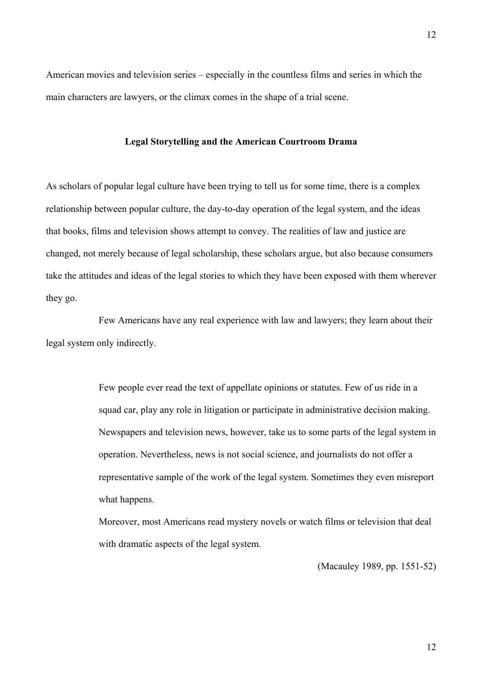12

American movies and television series – especially in the countless films and series in which the main characters are lawyers, or the climax comes in the shape of a trial scene.

#### **Legal Storytelling and the American Courtroom Drama**

As scholars of popular legal culture have been trying to tell us for some time, there is a complex relationship between popular culture, the day-to-day operation of the legal system, and the ideas that books, films and television shows attempt to convey. The realities of law and justice are changed, not merely because of legal scholarship, these scholars argue, but also because consumers take the attitudes and ideas of the legal stories to which they have been exposed with them wherever they go.

Few Americans have any real experience with law and lawyers; they learn about their legal system only indirectly.

> Few people ever read the text of appellate opinions or statutes. Few of us ride in a squad car, play any role in litigation or participate in administrative decision making. Newspapers and television news, however, take us to some parts of the legal system in operation. Nevertheless, news is not social science, and journalists do not offer a representative sample of the work of the legal system. Sometimes they even misreport what happens.

Moreover, most Americans read mystery novels or watch films or television that deal with dramatic aspects of the legal system.

(Macauley 1989, pp. 1551-52)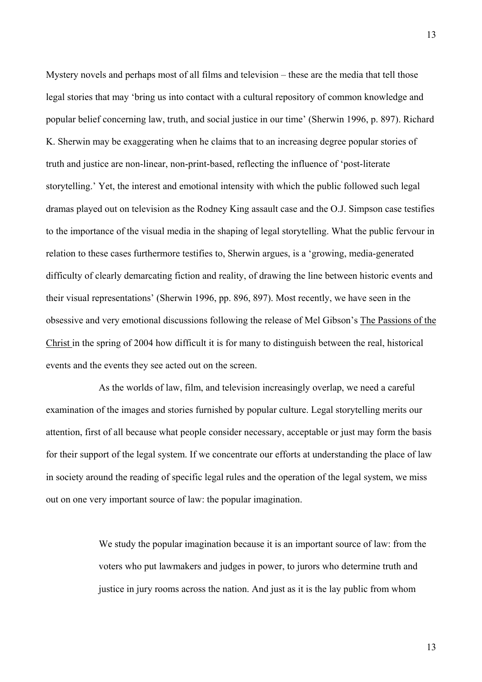Mystery novels and perhaps most of all films and television – these are the media that tell those legal stories that may 'bring us into contact with a cultural repository of common knowledge and popular belief concerning law, truth, and social justice in our time' (Sherwin 1996, p. 897). Richard K. Sherwin may be exaggerating when he claims that to an increasing degree popular stories of truth and justice are non-linear, non-print-based, reflecting the influence of 'post-literate storytelling.' Yet, the interest and emotional intensity with which the public followed such legal dramas played out on television as the Rodney King assault case and the O.J. Simpson case testifies to the importance of the visual media in the shaping of legal storytelling. What the public fervour in relation to these cases furthermore testifies to, Sherwin argues, is a 'growing, media-generated difficulty of clearly demarcating fiction and reality, of drawing the line between historic events and their visual representations' (Sherwin 1996, pp. 896, 897). Most recently, we have seen in the obsessive and very emotional discussions following the release of Mel Gibson's The Passions of the Christ in the spring of 2004 how difficult it is for many to distinguish between the real, historical events and the events they see acted out on the screen.

As the worlds of law, film, and television increasingly overlap, we need a careful examination of the images and stories furnished by popular culture. Legal storytelling merits our attention, first of all because what people consider necessary, acceptable or just may form the basis for their support of the legal system. If we concentrate our efforts at understanding the place of law in society around the reading of specific legal rules and the operation of the legal system, we miss out on one very important source of law: the popular imagination.

> We study the popular imagination because it is an important source of law: from the voters who put lawmakers and judges in power, to jurors who determine truth and justice in jury rooms across the nation. And just as it is the lay public from whom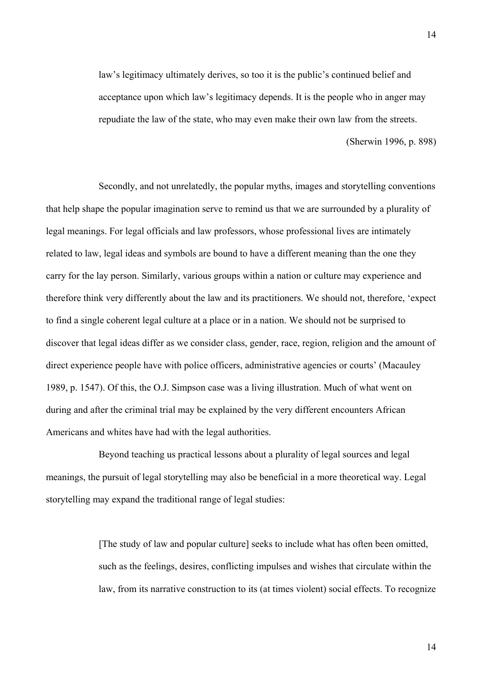law's legitimacy ultimately derives, so too it is the public's continued belief and acceptance upon which law's legitimacy depends. It is the people who in anger may repudiate the law of the state, who may even make their own law from the streets.

(Sherwin 1996, p. 898)

Secondly, and not unrelatedly, the popular myths, images and storytelling conventions that help shape the popular imagination serve to remind us that we are surrounded by a plurality of legal meanings. For legal officials and law professors, whose professional lives are intimately related to law, legal ideas and symbols are bound to have a different meaning than the one they carry for the lay person. Similarly, various groups within a nation or culture may experience and therefore think very differently about the law and its practitioners. We should not, therefore, 'expect to find a single coherent legal culture at a place or in a nation. We should not be surprised to discover that legal ideas differ as we consider class, gender, race, region, religion and the amount of direct experience people have with police officers, administrative agencies or courts' (Macauley 1989, p. 1547). Of this, the O.J. Simpson case was a living illustration. Much of what went on during and after the criminal trial may be explained by the very different encounters African Americans and whites have had with the legal authorities.

Beyond teaching us practical lessons about a plurality of legal sources and legal meanings, the pursuit of legal storytelling may also be beneficial in a more theoretical way. Legal storytelling may expand the traditional range of legal studies:

> [The study of law and popular culture] seeks to include what has often been omitted, such as the feelings, desires, conflicting impulses and wishes that circulate within the law, from its narrative construction to its (at times violent) social effects. To recognize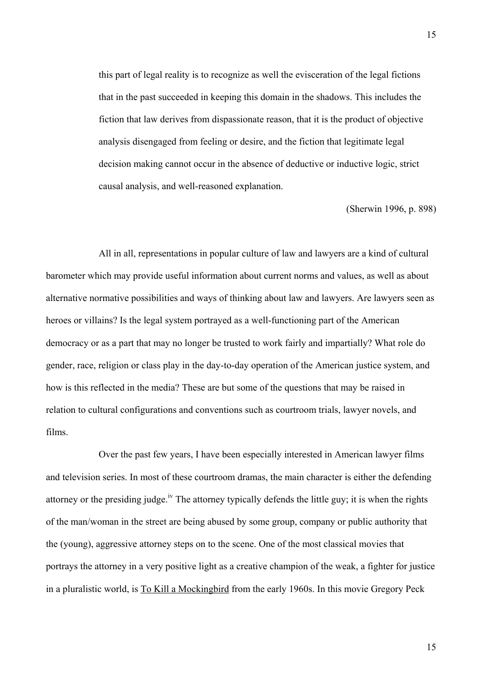this part of legal reality is to recognize as well the evisceration of the legal fictions that in the past succeeded in keeping this domain in the shadows. This includes the fiction that law derives from dispassionate reason, that it is the product of objective analysis disengaged from feeling or desire, and the fiction that legitimate legal decision making cannot occur in the absence of deductive or inductive logic, strict causal analysis, and well-reasoned explanation.

(Sherwin 1996, p. 898)

All in all, representations in popular culture of law and lawyers are a kind of cultural barometer which may provide useful information about current norms and values, as well as about alternative normative possibilities and ways of thinking about law and lawyers. Are lawyers seen as heroes or villains? Is the legal system portrayed as a well-functioning part of the American democracy or as a part that may no longer be trusted to work fairly and impartially? What role do gender, race, religion or class play in the day-to-day operation of the American justice system, and how is this reflected in the media? These are but some of the questions that may be raised in relation to cultural configurations and conventions such as courtroom trials, lawyer novels, and films.

Over the past few years, I have been especially interested in American lawyer films and television series. In most of these courtroom dramas, the main character is either the defending attorney or the presiding judge.<sup>iv</sup> The attorney typically defends the little guy; it is when the rights of the man/woman in the street are being abused by some group, company or public authority that the (young), aggressive attorney steps on to the scene. One of the most classical movies that portrays the attorney in a very positive light as a creative champion of the weak, a fighter for justice in a pluralistic world, is To Kill a Mockingbird from the early 1960s. In this movie Gregory Peck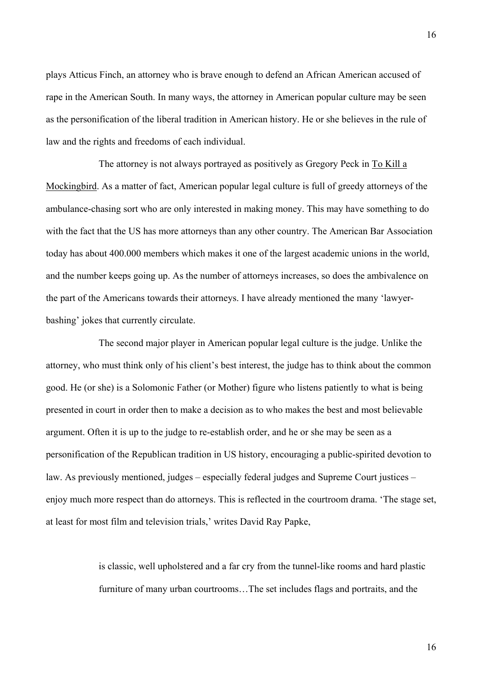plays Atticus Finch, an attorney who is brave enough to defend an African American accused of rape in the American South. In many ways, the attorney in American popular culture may be seen as the personification of the liberal tradition in American history. He or she believes in the rule of law and the rights and freedoms of each individual.

The attorney is not always portrayed as positively as Gregory Peck in To Kill a Mockingbird. As a matter of fact, American popular legal culture is full of greedy attorneys of the ambulance-chasing sort who are only interested in making money. This may have something to do with the fact that the US has more attorneys than any other country. The American Bar Association today has about 400.000 members which makes it one of the largest academic unions in the world, and the number keeps going up. As the number of attorneys increases, so does the ambivalence on the part of the Americans towards their attorneys. I have already mentioned the many 'lawyerbashing' jokes that currently circulate.

The second major player in American popular legal culture is the judge. Unlike the attorney, who must think only of his client's best interest, the judge has to think about the common good. He (or she) is a Solomonic Father (or Mother) figure who listens patiently to what is being presented in court in order then to make a decision as to who makes the best and most believable argument. Often it is up to the judge to re-establish order, and he or she may be seen as a personification of the Republican tradition in US history, encouraging a public-spirited devotion to law. As previously mentioned, judges – especially federal judges and Supreme Court justices – enjoy much more respect than do attorneys. This is reflected in the courtroom drama. 'The stage set, at least for most film and television trials,' writes David Ray Papke,

> is classic, well upholstered and a far cry from the tunnel-like rooms and hard plastic furniture of many urban courtrooms…The set includes flags and portraits, and the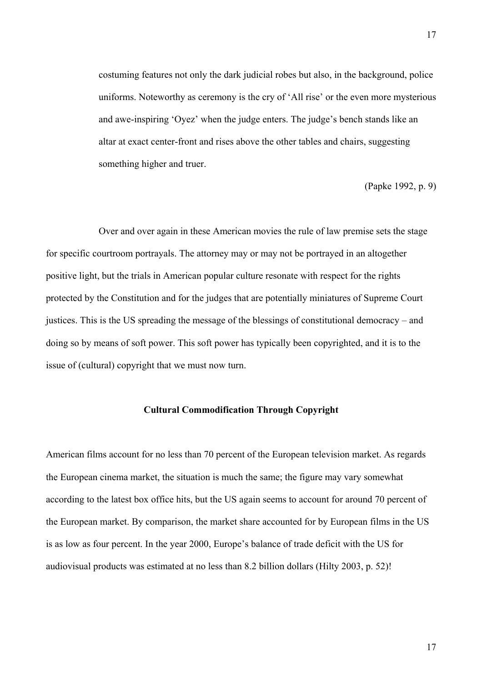costuming features not only the dark judicial robes but also, in the background, police uniforms. Noteworthy as ceremony is the cry of 'All rise' or the even more mysterious and awe-inspiring 'Oyez' when the judge enters. The judge's bench stands like an altar at exact center-front and rises above the other tables and chairs, suggesting something higher and truer.

(Papke 1992, p. 9)

Over and over again in these American movies the rule of law premise sets the stage for specific courtroom portrayals. The attorney may or may not be portrayed in an altogether positive light, but the trials in American popular culture resonate with respect for the rights protected by the Constitution and for the judges that are potentially miniatures of Supreme Court justices. This is the US spreading the message of the blessings of constitutional democracy – and doing so by means of soft power. This soft power has typically been copyrighted, and it is to the issue of (cultural) copyright that we must now turn.

#### **Cultural Commodification Through Copyright**

American films account for no less than 70 percent of the European television market. As regards the European cinema market, the situation is much the same; the figure may vary somewhat according to the latest box office hits, but the US again seems to account for around 70 percent of the European market. By comparison, the market share accounted for by European films in the US is as low as four percent. In the year 2000, Europe's balance of trade deficit with the US for audiovisual products was estimated at no less than 8.2 billion dollars (Hilty 2003, p. 52)!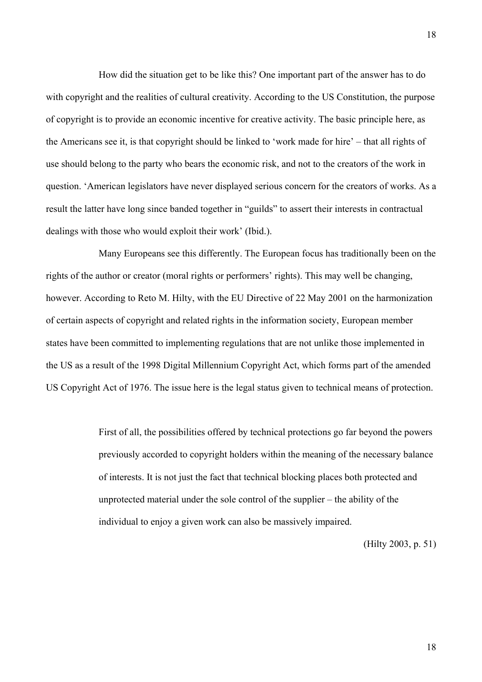How did the situation get to be like this? One important part of the answer has to do with copyright and the realities of cultural creativity. According to the US Constitution, the purpose of copyright is to provide an economic incentive for creative activity. The basic principle here, as the Americans see it, is that copyright should be linked to 'work made for hire' – that all rights of use should belong to the party who bears the economic risk, and not to the creators of the work in question. 'American legislators have never displayed serious concern for the creators of works. As a result the latter have long since banded together in "guilds" to assert their interests in contractual dealings with those who would exploit their work' (Ibid.).

Many Europeans see this differently. The European focus has traditionally been on the rights of the author or creator (moral rights or performers' rights). This may well be changing, however. According to Reto M. Hilty, with the EU Directive of 22 May 2001 on the harmonization of certain aspects of copyright and related rights in the information society, European member states have been committed to implementing regulations that are not unlike those implemented in the US as a result of the 1998 Digital Millennium Copyright Act, which forms part of the amended US Copyright Act of 1976. The issue here is the legal status given to technical means of protection.

> First of all, the possibilities offered by technical protections go far beyond the powers previously accorded to copyright holders within the meaning of the necessary balance of interests. It is not just the fact that technical blocking places both protected and unprotected material under the sole control of the supplier – the ability of the individual to enjoy a given work can also be massively impaired.

> > (Hilty 2003, p. 51)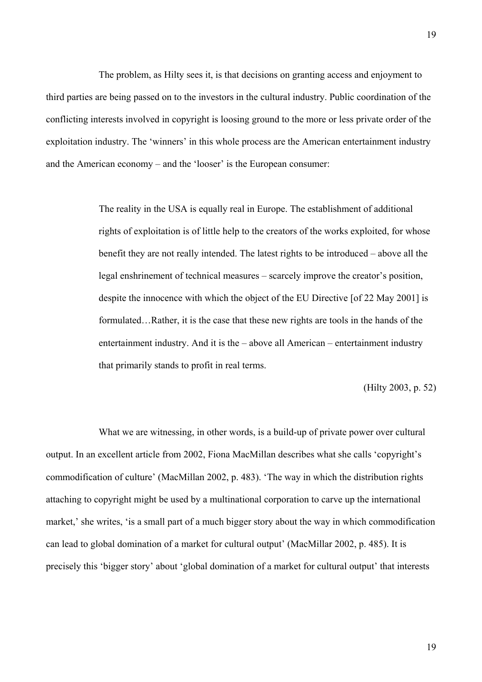The problem, as Hilty sees it, is that decisions on granting access and enjoyment to third parties are being passed on to the investors in the cultural industry. Public coordination of the conflicting interests involved in copyright is loosing ground to the more or less private order of the exploitation industry. The 'winners' in this whole process are the American entertainment industry and the American economy – and the 'looser' is the European consumer:

> The reality in the USA is equally real in Europe. The establishment of additional rights of exploitation is of little help to the creators of the works exploited, for whose benefit they are not really intended. The latest rights to be introduced – above all the legal enshrinement of technical measures – scarcely improve the creator's position, despite the innocence with which the object of the EU Directive [of 22 May 2001] is formulated…Rather, it is the case that these new rights are tools in the hands of the entertainment industry. And it is the – above all American – entertainment industry that primarily stands to profit in real terms.

> > (Hilty 2003, p. 52)

What we are witnessing, in other words, is a build-up of private power over cultural output. In an excellent article from 2002, Fiona MacMillan describes what she calls 'copyright's commodification of culture' (MacMillan 2002, p. 483). 'The way in which the distribution rights attaching to copyright might be used by a multinational corporation to carve up the international market,' she writes, 'is a small part of a much bigger story about the way in which commodification can lead to global domination of a market for cultural output' (MacMillar 2002, p. 485). It is precisely this 'bigger story' about 'global domination of a market for cultural output' that interests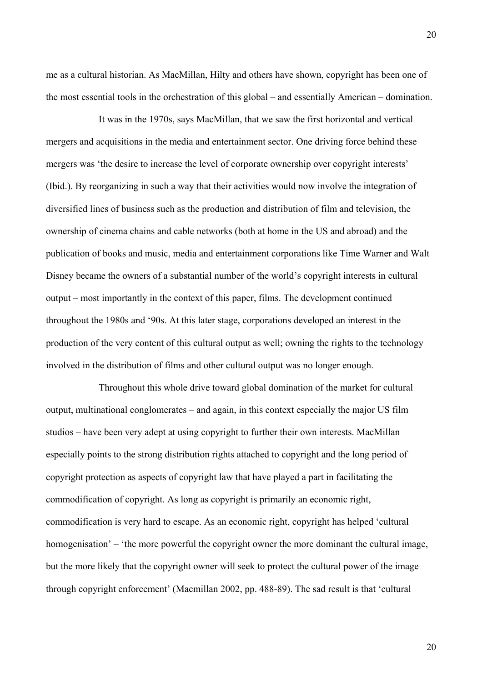me as a cultural historian. As MacMillan, Hilty and others have shown, copyright has been one of the most essential tools in the orchestration of this global – and essentially American – domination.

It was in the 1970s, says MacMillan, that we saw the first horizontal and vertical mergers and acquisitions in the media and entertainment sector. One driving force behind these mergers was 'the desire to increase the level of corporate ownership over copyright interests' (Ibid.). By reorganizing in such a way that their activities would now involve the integration of diversified lines of business such as the production and distribution of film and television, the ownership of cinema chains and cable networks (both at home in the US and abroad) and the publication of books and music, media and entertainment corporations like Time Warner and Walt Disney became the owners of a substantial number of the world's copyright interests in cultural output – most importantly in the context of this paper, films. The development continued throughout the 1980s and '90s. At this later stage, corporations developed an interest in the production of the very content of this cultural output as well; owning the rights to the technology involved in the distribution of films and other cultural output was no longer enough.

Throughout this whole drive toward global domination of the market for cultural output, multinational conglomerates – and again, in this context especially the major US film studios – have been very adept at using copyright to further their own interests. MacMillan especially points to the strong distribution rights attached to copyright and the long period of copyright protection as aspects of copyright law that have played a part in facilitating the commodification of copyright. As long as copyright is primarily an economic right, commodification is very hard to escape. As an economic right, copyright has helped 'cultural homogenisation' – 'the more powerful the copyright owner the more dominant the cultural image, but the more likely that the copyright owner will seek to protect the cultural power of the image through copyright enforcement' (Macmillan 2002, pp. 488-89). The sad result is that 'cultural

20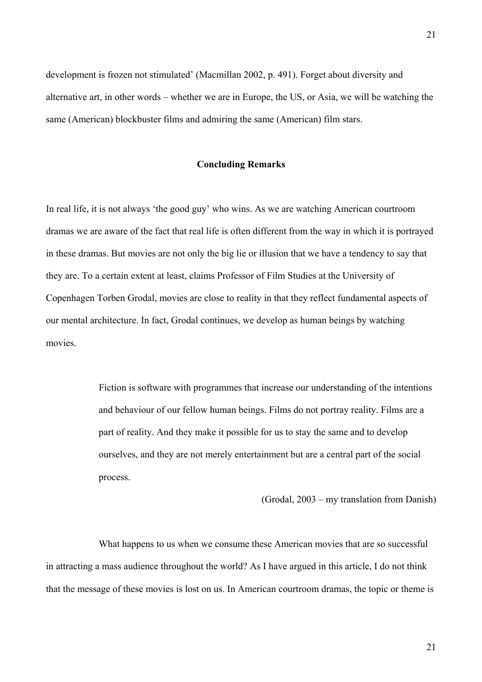development is frozen not stimulated' (Macmillan 2002, p. 491). Forget about diversity and alternative art, in other words – whether we are in Europe, the US, or Asia, we will be watching the same (American) blockbuster films and admiring the same (American) film stars.

### **Concluding Remarks**

In real life, it is not always 'the good guy' who wins. As we are watching American courtroom dramas we are aware of the fact that real life is often different from the way in which it is portrayed in these dramas. But movies are not only the big lie or illusion that we have a tendency to say that they are. To a certain extent at least, claims Professor of Film Studies at the University of Copenhagen Torben Grodal, movies are close to reality in that they reflect fundamental aspects of our mental architecture. In fact, Grodal continues, we develop as human beings by watching movies.

> Fiction is software with programmes that increase our understanding of the intentions and behaviour of our fellow human beings. Films do not portray reality. Films are a part of reality. And they make it possible for us to stay the same and to develop ourselves, and they are not merely entertainment but are a central part of the social process.

> > (Grodal, 2003 – my translation from Danish)

What happens to us when we consume these American movies that are so successful in attracting a mass audience throughout the world? As I have argued in this article, I do not think that the message of these movies is lost on us. In American courtroom dramas, the topic or theme is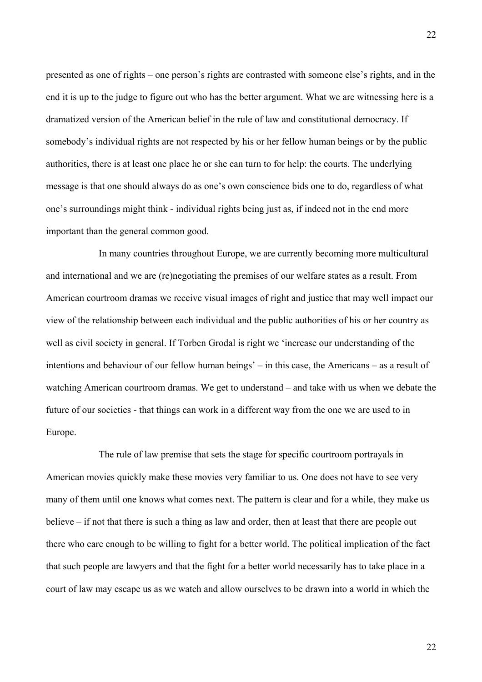presented as one of rights – one person's rights are contrasted with someone else's rights, and in the end it is up to the judge to figure out who has the better argument. What we are witnessing here is a dramatized version of the American belief in the rule of law and constitutional democracy. If somebody's individual rights are not respected by his or her fellow human beings or by the public authorities, there is at least one place he or she can turn to for help: the courts. The underlying message is that one should always do as one's own conscience bids one to do, regardless of what one's surroundings might think - individual rights being just as, if indeed not in the end more important than the general common good.

In many countries throughout Europe, we are currently becoming more multicultural and international and we are (re)negotiating the premises of our welfare states as a result. From American courtroom dramas we receive visual images of right and justice that may well impact our view of the relationship between each individual and the public authorities of his or her country as well as civil society in general. If Torben Grodal is right we 'increase our understanding of the intentions and behaviour of our fellow human beings' – in this case, the Americans – as a result of watching American courtroom dramas. We get to understand – and take with us when we debate the future of our societies - that things can work in a different way from the one we are used to in Europe.

The rule of law premise that sets the stage for specific courtroom portrayals in American movies quickly make these movies very familiar to us. One does not have to see very many of them until one knows what comes next. The pattern is clear and for a while, they make us believe – if not that there is such a thing as law and order, then at least that there are people out there who care enough to be willing to fight for a better world. The political implication of the fact that such people are lawyers and that the fight for a better world necessarily has to take place in a court of law may escape us as we watch and allow ourselves to be drawn into a world in which the

22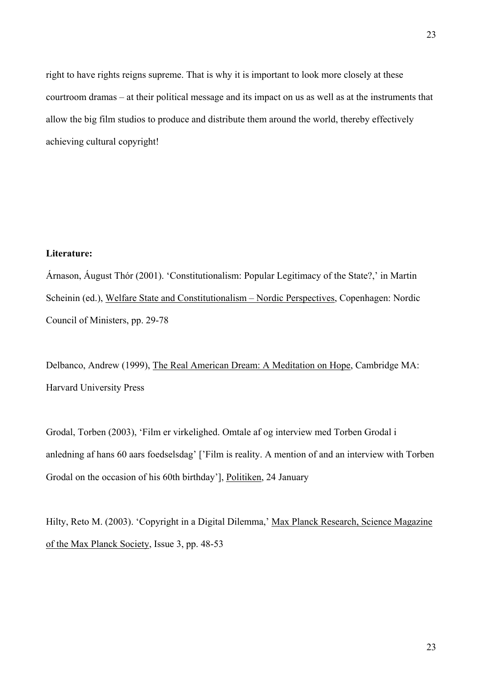right to have rights reigns supreme. That is why it is important to look more closely at these courtroom dramas – at their political message and its impact on us as well as at the instruments that allow the big film studios to produce and distribute them around the world, thereby effectively achieving cultural copyright!

## **Literature:**

Árnason, Áugust Thór (2001). 'Constitutionalism: Popular Legitimacy of the State?,' in Martin Scheinin (ed.), Welfare State and Constitutionalism – Nordic Perspectives, Copenhagen: Nordic Council of Ministers, pp. 29-78

Delbanco, Andrew (1999), The Real American Dream: A Meditation on Hope, Cambridge MA: Harvard University Press

Grodal, Torben (2003), 'Film er virkelighed. Omtale af og interview med Torben Grodal i anledning af hans 60 aars foedselsdag' ['Film is reality. A mention of and an interview with Torben Grodal on the occasion of his 60th birthday'], Politiken, 24 January

Hilty, Reto M. (2003). 'Copyright in a Digital Dilemma,' Max Planck Research, Science Magazine of the Max Planck Society, Issue 3, pp. 48-53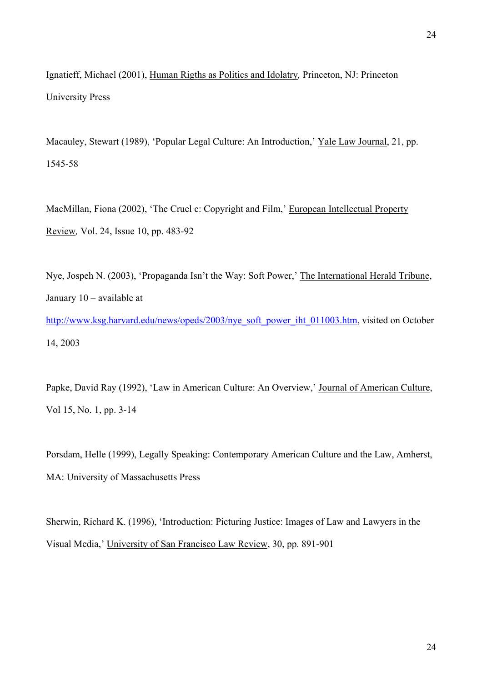Ignatieff, Michael (2001), Human Rigths as Politics and Idolatry*,* Princeton, NJ: Princeton University Press

Macauley, Stewart (1989), 'Popular Legal Culture: An Introduction,' Yale Law Journal, 21, pp. 1545-58

MacMillan, Fiona (2002), 'The Cruel c: Copyright and Film,' European Intellectual Property Review*,* Vol. 24, Issue 10, pp. 483-92

Nye, Jospeh N. (2003), 'Propaganda Isn't the Way: Soft Power,' The International Herald Tribune, January 10 – available at [http://www.ksg.harvard.edu/news/opeds/2003/nye\\_soft\\_power\\_iht\\_011003.htm,](http://www.ksg.harvard.edu/news/opeds/2003/nye_soft_power_iht_011003.htm) visited on October 14, 2003

Papke, David Ray (1992), 'Law in American Culture: An Overview,' Journal of American Culture, Vol 15, No. 1, pp. 3-14

Porsdam, Helle (1999), Legally Speaking: Contemporary American Culture and the Law, Amherst, MA: University of Massachusetts Press

Sherwin, Richard K. (1996), 'Introduction: Picturing Justice: Images of Law and Lawyers in the Visual Media,' University of San Francisco Law Review, 30, pp. 891-901